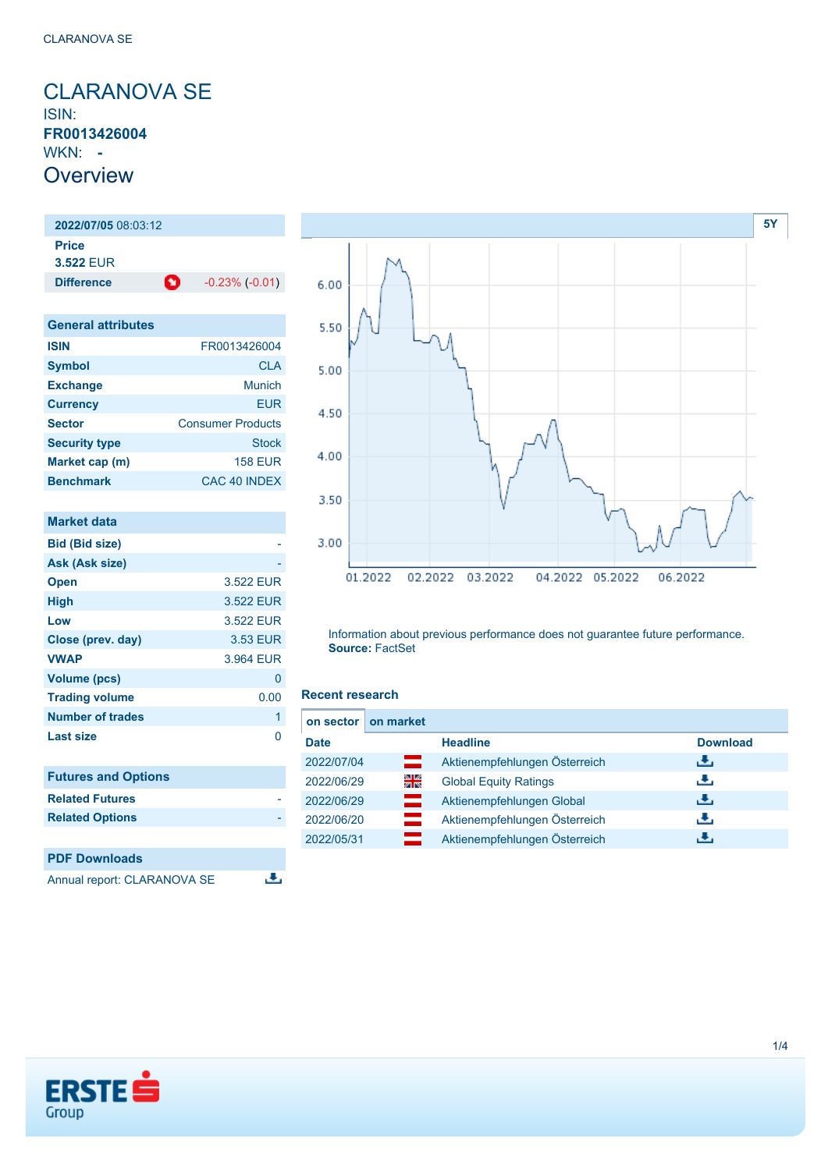<span id="page-0-0"></span>CLARANOVA SE ISIN: **FR0013426004** WKN: **- Overview** 

**2022/07/05** 08:03:12 **Price 3.522** EUR **Difference C** -0.23% (-0.01)

| <b>General attributes</b> |                          |
|---------------------------|--------------------------|
| <b>ISIN</b>               | FR0013426004             |
| <b>Symbol</b>             | <b>CLA</b>               |
| <b>Exchange</b>           | Munich                   |
| <b>Currency</b>           | EUR                      |
| <b>Sector</b>             | <b>Consumer Products</b> |
| <b>Security type</b>      | <b>Stock</b>             |
| Market cap (m)            | <b>158 EUR</b>           |
| <b>Benchmark</b>          | CAC 40 INDEX             |

| <b>Market data</b>          |           |
|-----------------------------|-----------|
| <b>Bid (Bid size)</b>       |           |
| Ask (Ask size)              |           |
| <b>Open</b>                 | 3.522 EUR |
| <b>High</b>                 | 3.522 EUR |
| Low                         | 3.522 EUR |
| Close (prev. day)           | 3.53 EUR  |
| <b>VWAP</b>                 | 3.964 EUR |
| <b>Volume (pcs)</b>         | 0         |
| <b>Trading volume</b>       | 0.00      |
| <b>Number of trades</b>     | 1         |
| <b>Last size</b>            | 0         |
|                             |           |
| <b>Futures and Options</b>  |           |
| <b>Related Futures</b>      |           |
| <b>Related Options</b>      |           |
|                             |           |
| <b>PDF Downloads</b>        |           |
| Annual report: CLARANOVA SE |           |



Information about previous performance does not guarantee future performance. **Source:** FactSet

### **Recent research**

| on sector   | on market |                               |                 |
|-------------|-----------|-------------------------------|-----------------|
| <b>Date</b> |           | <b>Headline</b>               | <b>Download</b> |
| 2022/07/04  | ▭         | Aktienempfehlungen Österreich | رائی            |
| 2022/06/29  | 꾉뚢        | <b>Global Equity Ratings</b>  | æ,              |
| 2022/06/29  | ш         | Aktienempfehlungen Global     | æ,              |
| 2022/06/20  |           | Aktienempfehlungen Österreich | υ.              |
| 2022/05/31  |           | Aktienempfehlungen Österreich | ٠₩.             |

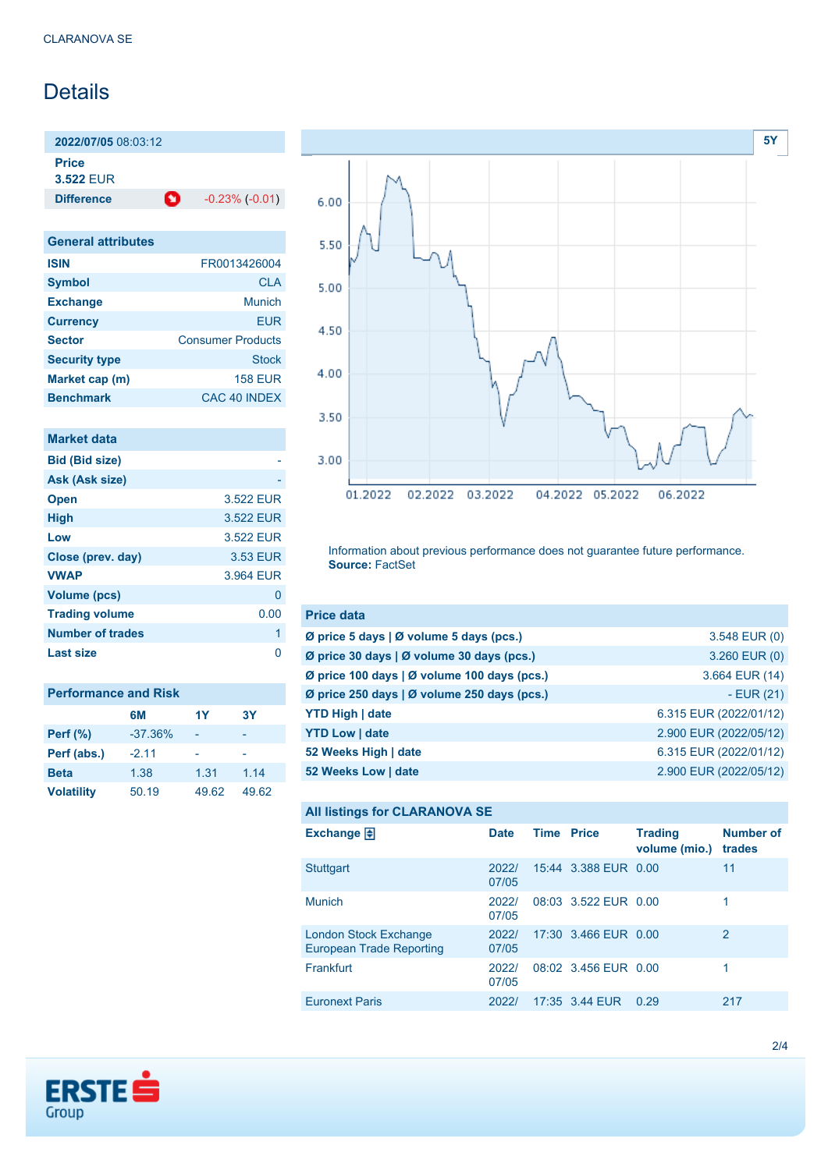# **Details**

**2022/07/05** 08:03:12

**Price**

**3.522** EUR

**Difference C** -0.23% (-0.01)

| <b>General attributes</b> |                          |
|---------------------------|--------------------------|
| <b>ISIN</b>               | FR0013426004             |
| <b>Symbol</b>             | <b>CLA</b>               |
| <b>Exchange</b>           | Munich                   |
| <b>Currency</b>           | <b>EUR</b>               |
| <b>Sector</b>             | <b>Consumer Products</b> |
| <b>Security type</b>      | Stock                    |
| Market cap (m)            | <b>158 EUR</b>           |
| <b>Benchmark</b>          | CAC 40 INDEX             |

| Market data             |           |
|-------------------------|-----------|
| <b>Bid (Bid size)</b>   |           |
| Ask (Ask size)          |           |
| <b>Open</b>             | 3.522 EUR |
| <b>High</b>             | 3.522 EUR |
| Low                     | 3.522 FUR |
| Close (prev. day)       | 3.53 EUR  |
| <b>VWAP</b>             | 3.964 EUR |
| <b>Volume (pcs)</b>     | 0         |
| <b>Trading volume</b>   | 0.00      |
| <b>Number of trades</b> | 1         |
| Last size               |           |

| <b>Performance and Risk</b> |           |       |           |  |
|-----------------------------|-----------|-------|-----------|--|
|                             | 6M        | 1Y    | <b>3Y</b> |  |
| <b>Perf</b> (%)             | $-37.36%$ |       |           |  |
| Perf (abs.)                 | $-2.11$   |       |           |  |
| <b>Beta</b>                 | 1.38      | 1.31  | 1.14      |  |
| <b>Volatility</b>           | 50.19     | 49.62 | 49.62     |  |



Information about previous performance does not guarantee future performance. **Source:** FactSet

| <b>Price data</b>                           |                        |
|---------------------------------------------|------------------------|
| Ø price 5 days   Ø volume 5 days (pcs.)     | 3.548 EUR (0)          |
| Ø price 30 days   Ø volume 30 days (pcs.)   | 3.260 EUR (0)          |
| Ø price 100 days   Ø volume 100 days (pcs.) | 3.664 EUR (14)         |
| Ø price 250 days   Ø volume 250 days (pcs.) | $-EUR(21)$             |
| <b>YTD High   date</b>                      | 6.315 EUR (2022/01/12) |
| <b>YTD Low   date</b>                       | 2.900 EUR (2022/05/12) |
| 52 Weeks High   date                        | 6.315 EUR (2022/01/12) |
| 52 Weeks Low   date                         | 2.900 EUR (2022/05/12) |

```
All listings for CLARANOVA SE
```

| Exchange $\Box$                                          | <b>Date</b>    | <b>Time Price</b> |                      | <b>Trading</b><br>volume (mio.) | <b>Number of</b><br>trades |
|----------------------------------------------------------|----------------|-------------------|----------------------|---------------------------------|----------------------------|
| Stuttgart                                                | 2022/<br>07/05 |                   | 15:44 3.388 EUR 0.00 |                                 | 11                         |
| <b>Munich</b>                                            | 2022/<br>07/05 |                   | 08:03 3.522 EUR 0.00 |                                 |                            |
| London Stock Exchange<br><b>European Trade Reporting</b> | 2022/<br>07/05 |                   | 17:30 3.466 EUR 0.00 |                                 | $\overline{2}$             |
| Frankfurt                                                | 2022/<br>07/05 |                   | 08:02 3.456 EUR 0.00 |                                 |                            |
| <b>Euronext Paris</b>                                    | 2022/          |                   | 17:35 3.44 EUR       | 0.29                            | 217                        |
|                                                          |                |                   |                      |                                 |                            |

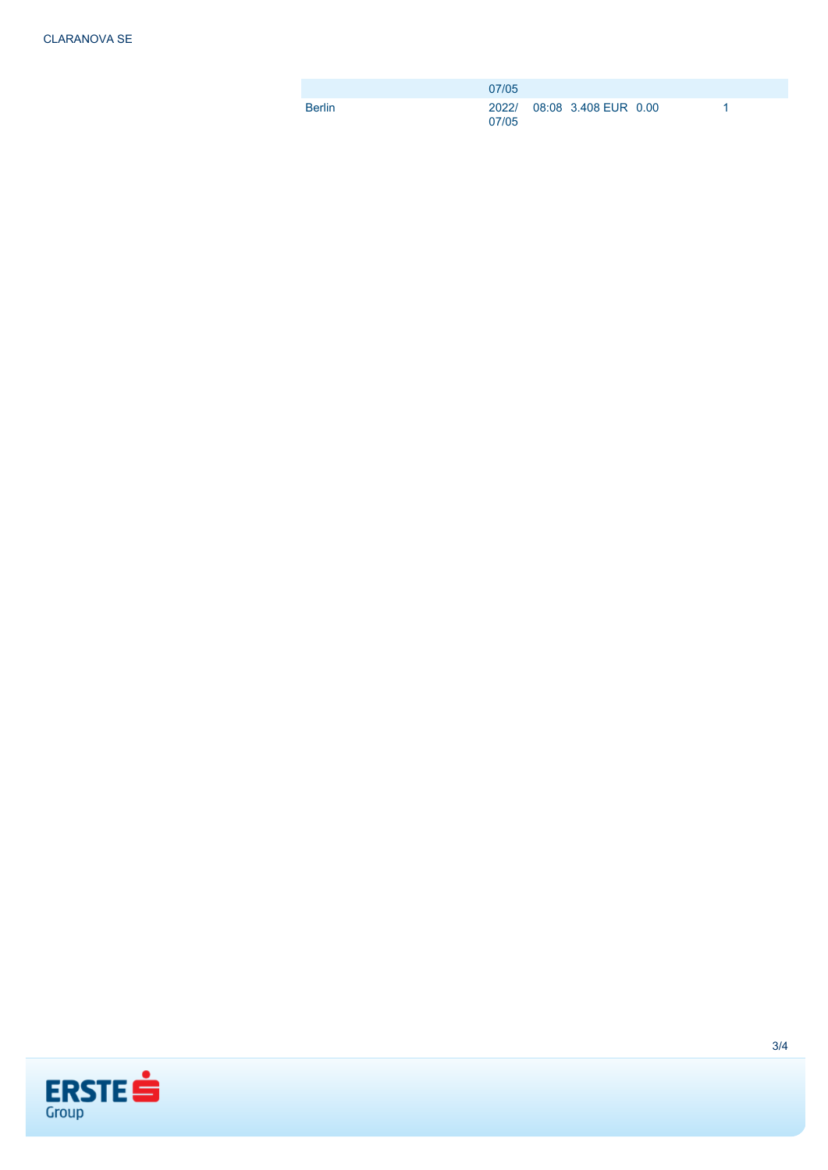|               | 07/05                               |  |  |
|---------------|-------------------------------------|--|--|
| <b>Berlin</b> | 2022/ 08:08 3.408 EUR 0.00<br>07/05 |  |  |